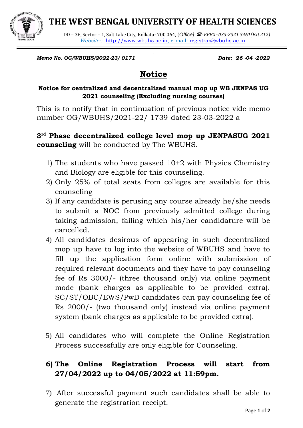**THE WEST BENGAL UNIVERSITY OF HEALTH SCIENCES**



DD – 36, Sector – 1, Salt Lake City, Kolkata- 700 064, (*Office} : EPBX:-033-2321 3461(Ext.212) Website:: -*[http://www.wbuhs.ac.in,](http://www.wbuhs.ac.in/) e-mail: [registrar@wbuhs.ac.in](mailto:registrar@wbuhs.ac.in)

*Memo No. OG/WBUHS/2022-23/ 0171 Date: 26 -04 -2022*

## **Notice**

## **Notice for centralized and decentralized manual mop up WB JENPAS UG 2021 counseling (Excluding nursing courses)**

This is to notify that in continuation of previous notice vide memo number OG/WBUHS/2021-22/ 1739 dated 23-03-2022 a

## **3 rd Phase decentralized college level mop up JENPASUG 2021 counseling** will be conducted by The WBUHS.

- 1) The students who have passed 10+2 with Physics Chemistry and Biology are eligible for this counseling.
- 2) Only 25% of total seats from colleges are available for this counseling
- 3) If any candidate is perusing any course already he/she needs to submit a NOC from previously admitted college during taking admission, failing which his/her candidature will be cancelled.
- 4) All candidates desirous of appearing in such decentralized mop up have to log into the website of WBUHS and have to fill up the application form online with submission of required relevant documents and they have to pay counseling fee of Rs 3000/- (three thousand only) via online payment mode (bank charges as applicable to be provided extra). SC/ST/OBC/EWS/PwD candidates can pay counseling fee of Rs 2000/- (two thousand only) instead via online payment system (bank charges as applicable to be provided extra).
- 5) All candidates who will complete the Online Registration Process successfully are only eligible for Counseling.

## **6) The Online Registration Process will start from 27/04/2022 up to 04/05/2022 at 11:59pm.**

7) After successful payment such candidates shall be able to generate the registration receipt.